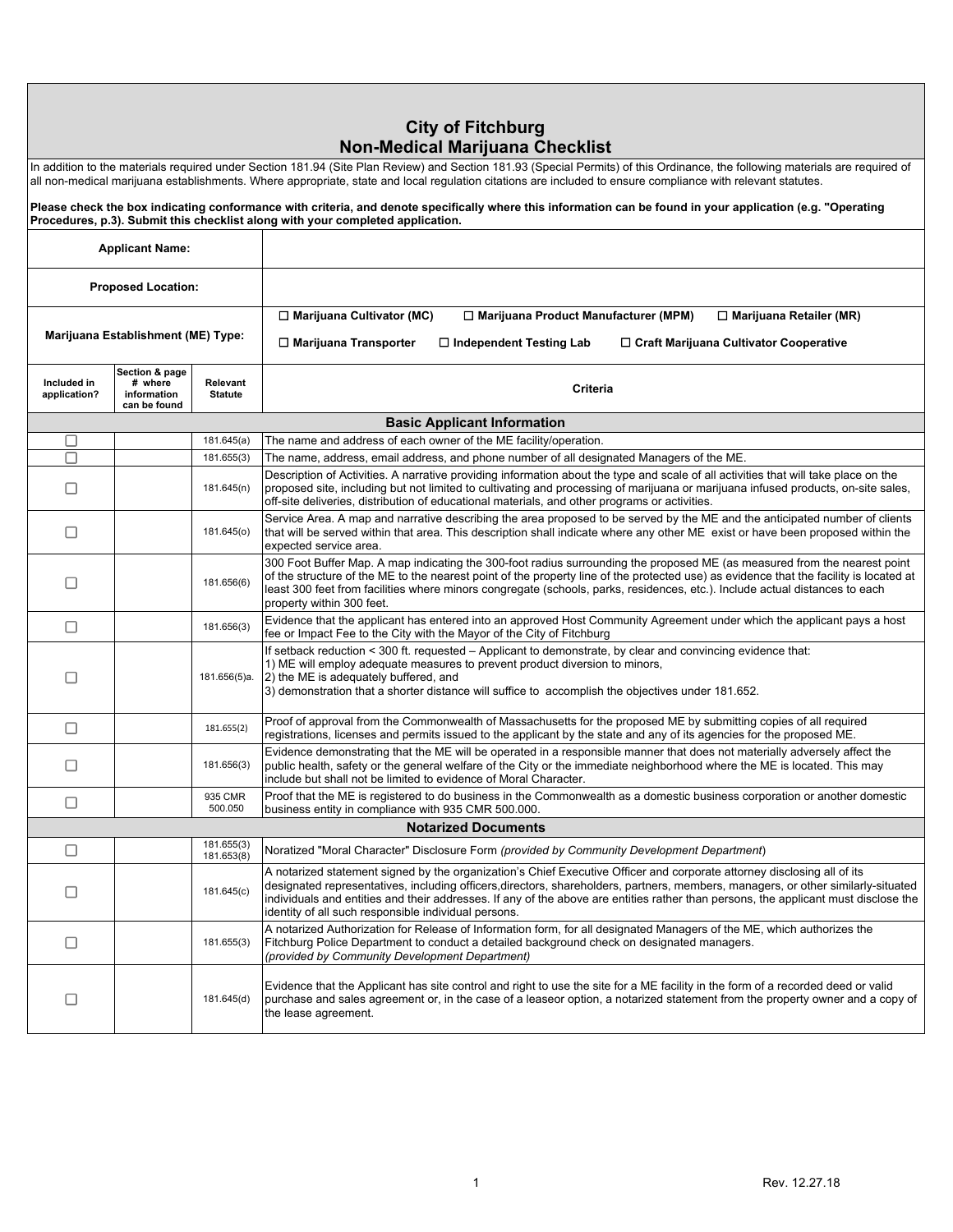### **City of Fitchburg Non-Medical Marijuana Checklist**

| In addition to the materials required under Section 181.94 (Site Plan Review) and Section 181.93 (Special Permits) of this Ordinance, the following materials are required of |  |
|-------------------------------------------------------------------------------------------------------------------------------------------------------------------------------|--|
| all non-medical marijuana establishments. Where appropriate, state and local regulation citations are included to ensure compliance with relevant statutes.                   |  |

**Please check the box indicating conformance with criteria, and denote specifically where this information can be found in your application (e.g. "Operating Procedures, p.3). Submit this checklist along with your completed application. Applicant Name: Proposed Location:** ☐ **Marijuana Cultivator (MC)** ☐ **Marijuana Product Manufacturer (MPM)** ☐ **Marijuana Retailer (MR) Marijuana Establishment (ME) Type:** ☐ **Marijuana Transporter** ☐ **Independent Testing Lab** ☐ **Craft Marijuana Cultivator Cooperative Section & page Included in Relevant # where Statute Criteria application? information can be found Basic Applicant Information** П 181.645(a) The name and address of each owner of the ME facility/operation.  $\overline{\Box}$ 181.655(3) The name, address, email address, and phone number of all designated Managers of the ME. Description of Activities. A narrative providing information about the type and scale of all activities that will take place on the  $\Box$ 181.645(n) proposed site, including but not limited to cultivating and processing of marijuana or marijuana infused products, on-site sales, off-site deliveries, distribution of educational materials, and other programs or activities. Service Area. A map and narrative describing the area proposed to be served by the ME and the anticipated number of clients  $\Box$ 181.645(o) that will be served within that area. This description shall indicate where any other ME exist or have been proposed within the expected service area. 300 Foot Buffer Map. A map indicating the 300-foot radius surrounding the proposed ME (as measured from the nearest point of the structure of the ME to the nearest point of the property line of the protected use) as evidence that the facility is located at  $\Box$ 181.656(6) least 300 feet from facilities where minors congregate (schools, parks, residences, etc.). Include actual distances to each property within 300 feet. 181.656(3) Evidence that the applicant has entered into an approved Host Community Agreement under which the applicant pays a host  $\Box$ fee or Impact Fee to the City with the Mayor of the City of Fitchburg If setback reduction < 300 ft. requested – Applicant to demonstrate, by clear and convincing evidence that: 1) ME will employ adequate measures to prevent product diversion to minors,  $\Box$ 181.656(5)a. 2) the ME is adequately buffered, and 3) demonstration that a shorter distance will suffice to accomplish the objectives under 181.652. 181.655(2) Proof of approval from the Commonwealth of Massachusetts for the proposed ME by submitting copies of all required  $\Box$ registrations, licenses and permits issued to the applicant by the state and any of its agencies for the proposed ME. Evidence demonstrating that the ME will be operated in a responsible manner that does not materially adversely affect the public health, safety or the general welfare of the City or the immediate neighborhood where the ME is located. This may  $\Box$ 181.656(3) include but shall not be limited to evidence of Moral Character. 935 CMR Proof that the ME is registered to do business in the Commonwealth as a domestic business corporation or another domestic  $\Box$ 500.050 business entity in compliance with 935 CMR 500.000. **Notarized Documents** 181.655(3)  $\Box$ 181.653(8) Noratized "Moral Character" Disclosure Form *(provided by Community Development Department*) A notarized statement signed by the organization's Chief Executive Officer and corporate attorney disclosing all of its designated representatives, including officers,directors, shareholders, partners, members, managers, or other similarly-situated  $\Box$ 181.645(c) individuals and entities and their addresses. If any of the above are entities rather than persons, the applicant must disclose the identity of all such responsible individual persons. A notarized Authorization for Release of Information form, for all designated Managers of the ME, which authorizes the  $\Box$ 181.655(3) Fitchburg Police Department to conduct a detailed background check on designated managers. *(provided by Community Development Department)* Evidence that the Applicant has site control and right to use the site for a ME facility in the form of a recorded deed or valid  $\Box$ 181.645(d) purchase and sales agreement or, in the case of a leaseor option, a notarized statement from the property owner and a copy of the lease agreement.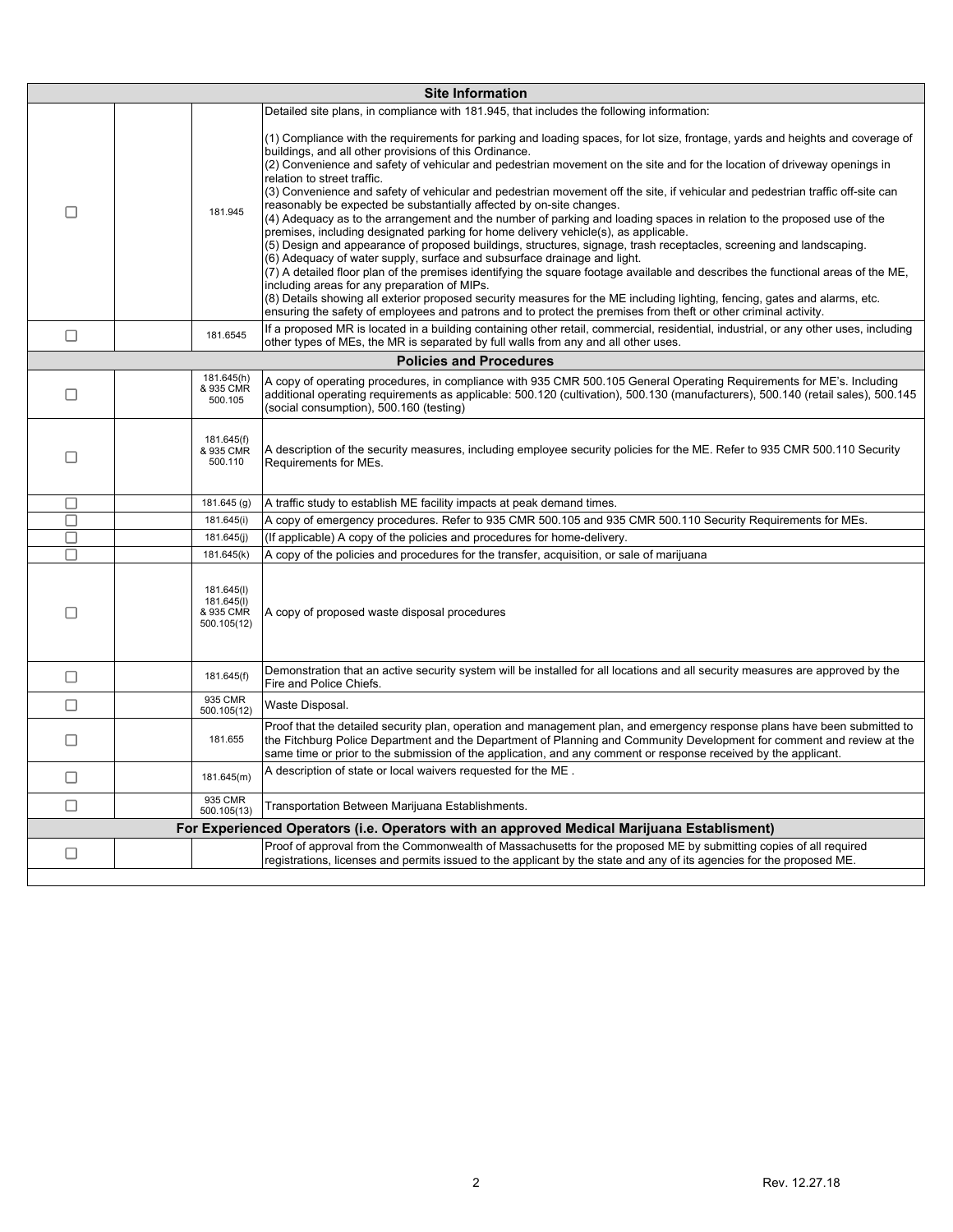|        |                                                      | <b>Site Information</b>                                                                                                                                                                                                                                                                                                                                                                                                                                                                                                                                                                                                                                                                                                                                                                                                                                                                                                                                                                                                                                                                                                                                                                                                                                                                                                                                                                                                |
|--------|------------------------------------------------------|------------------------------------------------------------------------------------------------------------------------------------------------------------------------------------------------------------------------------------------------------------------------------------------------------------------------------------------------------------------------------------------------------------------------------------------------------------------------------------------------------------------------------------------------------------------------------------------------------------------------------------------------------------------------------------------------------------------------------------------------------------------------------------------------------------------------------------------------------------------------------------------------------------------------------------------------------------------------------------------------------------------------------------------------------------------------------------------------------------------------------------------------------------------------------------------------------------------------------------------------------------------------------------------------------------------------------------------------------------------------------------------------------------------------|
|        |                                                      | Detailed site plans, in compliance with 181.945, that includes the following information:                                                                                                                                                                                                                                                                                                                                                                                                                                                                                                                                                                                                                                                                                                                                                                                                                                                                                                                                                                                                                                                                                                                                                                                                                                                                                                                              |
| □      | 181.945                                              | (1) Compliance with the requirements for parking and loading spaces, for lot size, frontage, yards and heights and coverage of<br>buildings, and all other provisions of this Ordinance.<br>(2) Convenience and safety of vehicular and pedestrian movement on the site and for the location of driveway openings in<br>relation to street traffic.<br>(3) Convenience and safety of vehicular and pedestrian movement off the site, if vehicular and pedestrian traffic off-site can<br>reasonably be expected be substantially affected by on-site changes.<br>(4) Adequacy as to the arrangement and the number of parking and loading spaces in relation to the proposed use of the<br>premises, including designated parking for home delivery vehicle(s), as applicable.<br>(5) Design and appearance of proposed buildings, structures, signage, trash receptacles, screening and landscaping.<br>(6) Adequacy of water supply, surface and subsurface drainage and light.<br>(7) A detailed floor plan of the premises identifying the square footage available and describes the functional areas of the ME,<br>including areas for any preparation of MIPs.<br>(8) Details showing all exterior proposed security measures for the ME including lighting, fencing, gates and alarms, etc.<br>ensuring the safety of employees and patrons and to protect the premises from theft or other criminal activity. |
| □      | 181.6545                                             | If a proposed MR is located in a building containing other retail, commercial, residential, industrial, or any other uses, including<br>other types of MEs, the MR is separated by full walls from any and all other uses.                                                                                                                                                                                                                                                                                                                                                                                                                                                                                                                                                                                                                                                                                                                                                                                                                                                                                                                                                                                                                                                                                                                                                                                             |
|        |                                                      | <b>Policies and Procedures</b>                                                                                                                                                                                                                                                                                                                                                                                                                                                                                                                                                                                                                                                                                                                                                                                                                                                                                                                                                                                                                                                                                                                                                                                                                                                                                                                                                                                         |
|        | 181.645(h)                                           | A copy of operating procedures, in compliance with 935 CMR 500.105 General Operating Requirements for ME's. Including                                                                                                                                                                                                                                                                                                                                                                                                                                                                                                                                                                                                                                                                                                                                                                                                                                                                                                                                                                                                                                                                                                                                                                                                                                                                                                  |
| □      | & 935 CMR<br>500.105                                 | additional operating requirements as applicable: 500.120 (cultivation), 500.130 (manufacturers), 500.140 (retail sales), 500.145<br>(social consumption), 500.160 (testing)                                                                                                                                                                                                                                                                                                                                                                                                                                                                                                                                                                                                                                                                                                                                                                                                                                                                                                                                                                                                                                                                                                                                                                                                                                            |
| □      | 181.645(f)<br>& 935 CMR<br>500.110                   | A description of the security measures, including employee security policies for the ME. Refer to 935 CMR 500.110 Security<br>Requirements for MEs.                                                                                                                                                                                                                                                                                                                                                                                                                                                                                                                                                                                                                                                                                                                                                                                                                                                                                                                                                                                                                                                                                                                                                                                                                                                                    |
| $\Box$ | 181.645 (g)                                          | A traffic study to establish ME facility impacts at peak demand times.                                                                                                                                                                                                                                                                                                                                                                                                                                                                                                                                                                                                                                                                                                                                                                                                                                                                                                                                                                                                                                                                                                                                                                                                                                                                                                                                                 |
| П      | 181.645(i)                                           | A copy of emergency procedures. Refer to 935 CMR 500.105 and 935 CMR 500.110 Security Requirements for MEs.                                                                                                                                                                                                                                                                                                                                                                                                                                                                                                                                                                                                                                                                                                                                                                                                                                                                                                                                                                                                                                                                                                                                                                                                                                                                                                            |
| П      | 181.645(j)                                           | (If applicable) A copy of the policies and procedures for home-delivery.                                                                                                                                                                                                                                                                                                                                                                                                                                                                                                                                                                                                                                                                                                                                                                                                                                                                                                                                                                                                                                                                                                                                                                                                                                                                                                                                               |
| □      | 181.645(k)                                           | A copy of the policies and procedures for the transfer, acquisition, or sale of marijuana                                                                                                                                                                                                                                                                                                                                                                                                                                                                                                                                                                                                                                                                                                                                                                                                                                                                                                                                                                                                                                                                                                                                                                                                                                                                                                                              |
| □      | 181.645(I)<br>181.645(I)<br>& 935 CMR<br>500.105(12) | A copy of proposed waste disposal procedures                                                                                                                                                                                                                                                                                                                                                                                                                                                                                                                                                                                                                                                                                                                                                                                                                                                                                                                                                                                                                                                                                                                                                                                                                                                                                                                                                                           |
| □      | 181.645(f)                                           | Demonstration that an active security system will be installed for all locations and all security measures are approved by the<br>Fire and Police Chiefs.                                                                                                                                                                                                                                                                                                                                                                                                                                                                                                                                                                                                                                                                                                                                                                                                                                                                                                                                                                                                                                                                                                                                                                                                                                                              |
| □      | 935 CMR<br>500.105(12)                               | Waste Disposal.                                                                                                                                                                                                                                                                                                                                                                                                                                                                                                                                                                                                                                                                                                                                                                                                                                                                                                                                                                                                                                                                                                                                                                                                                                                                                                                                                                                                        |
| □      | 181.655                                              | Proof that the detailed security plan, operation and management plan, and emergency response plans have been submitted to<br>the Fitchburg Police Department and the Department of Planning and Community Development for comment and review at the<br>same time or prior to the submission of the application, and any comment or response received by the applicant.                                                                                                                                                                                                                                                                                                                                                                                                                                                                                                                                                                                                                                                                                                                                                                                                                                                                                                                                                                                                                                                 |
| □      | 181.645(m)                                           | A description of state or local waivers requested for the ME.                                                                                                                                                                                                                                                                                                                                                                                                                                                                                                                                                                                                                                                                                                                                                                                                                                                                                                                                                                                                                                                                                                                                                                                                                                                                                                                                                          |
| $\Box$ | 935 CMR<br>500.105(13)                               | Transportation Between Marijuana Establishments.                                                                                                                                                                                                                                                                                                                                                                                                                                                                                                                                                                                                                                                                                                                                                                                                                                                                                                                                                                                                                                                                                                                                                                                                                                                                                                                                                                       |
|        |                                                      | For Experienced Operators (i.e. Operators with an approved Medical Marijuana Establisment)                                                                                                                                                                                                                                                                                                                                                                                                                                                                                                                                                                                                                                                                                                                                                                                                                                                                                                                                                                                                                                                                                                                                                                                                                                                                                                                             |
| $\Box$ |                                                      | Proof of approval from the Commonwealth of Massachusetts for the proposed ME by submitting copies of all required<br>registrations, licenses and permits issued to the applicant by the state and any of its agencies for the proposed ME.                                                                                                                                                                                                                                                                                                                                                                                                                                                                                                                                                                                                                                                                                                                                                                                                                                                                                                                                                                                                                                                                                                                                                                             |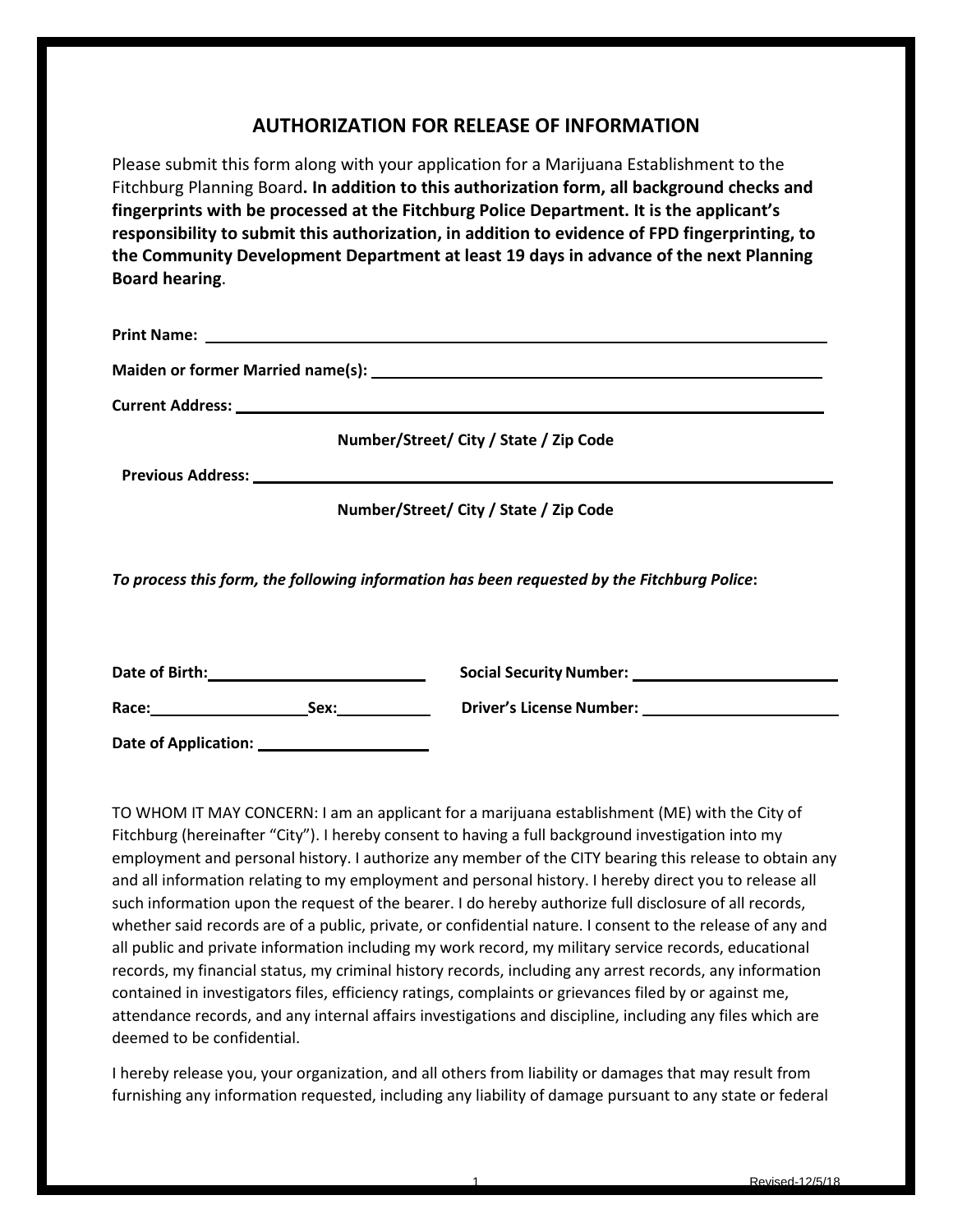## **AUTHORIZATION FOR RELEASE OF INFORMATION**

Please submit this form along with your application for a Marijuana Establishment to the Fitchburg Planning Board**. In addition to this authorization form, all background checks and fingerprints with be processed at the Fitchburg Police Department. It is the applicant's responsibility to submit this authorization, in addition to evidence of FPD fingerprinting, to the Community Development Department at least 19 days in advance of the next Planning Board hearing**.

| Current Address: <u>Current Address:</u> Current Address: 2004                              |
|---------------------------------------------------------------------------------------------|
| Number/Street/ City / State / Zip Code                                                      |
|                                                                                             |
| Number/Street/ City / State / Zip Code                                                      |
| To process this form, the following information has been requested by the Fitchburg Police: |
|                                                                                             |

Race: Sex: Sex: Driver's License Number:

**Date of Application:**

TO WHOM IT MAY CONCERN: I am an applicant for a marijuana establishment (ME) with the City of Fitchburg (hereinafter "City"). I hereby consent to having a full background investigation into my employment and personal history. I authorize any member of the CITY bearing this release to obtain any and all information relating to my employment and personal history. I hereby direct you to release all such information upon the request of the bearer. I do hereby authorize full disclosure of all records, whether said records are of a public, private, or confidential nature. I consent to the release of any and all public and private information including my work record, my military service records, educational records, my financial status, my criminal history records, including any arrest records, any information contained in investigators files, efficiency ratings, complaints or grievances filed by or against me, attendance records, and any internal affairs investigations and discipline, including any files which are deemed to be confidential.

I hereby release you, your organization, and all others from liability or damages that may result from furnishing any information requested, including any liability of damage pursuant to any state or federal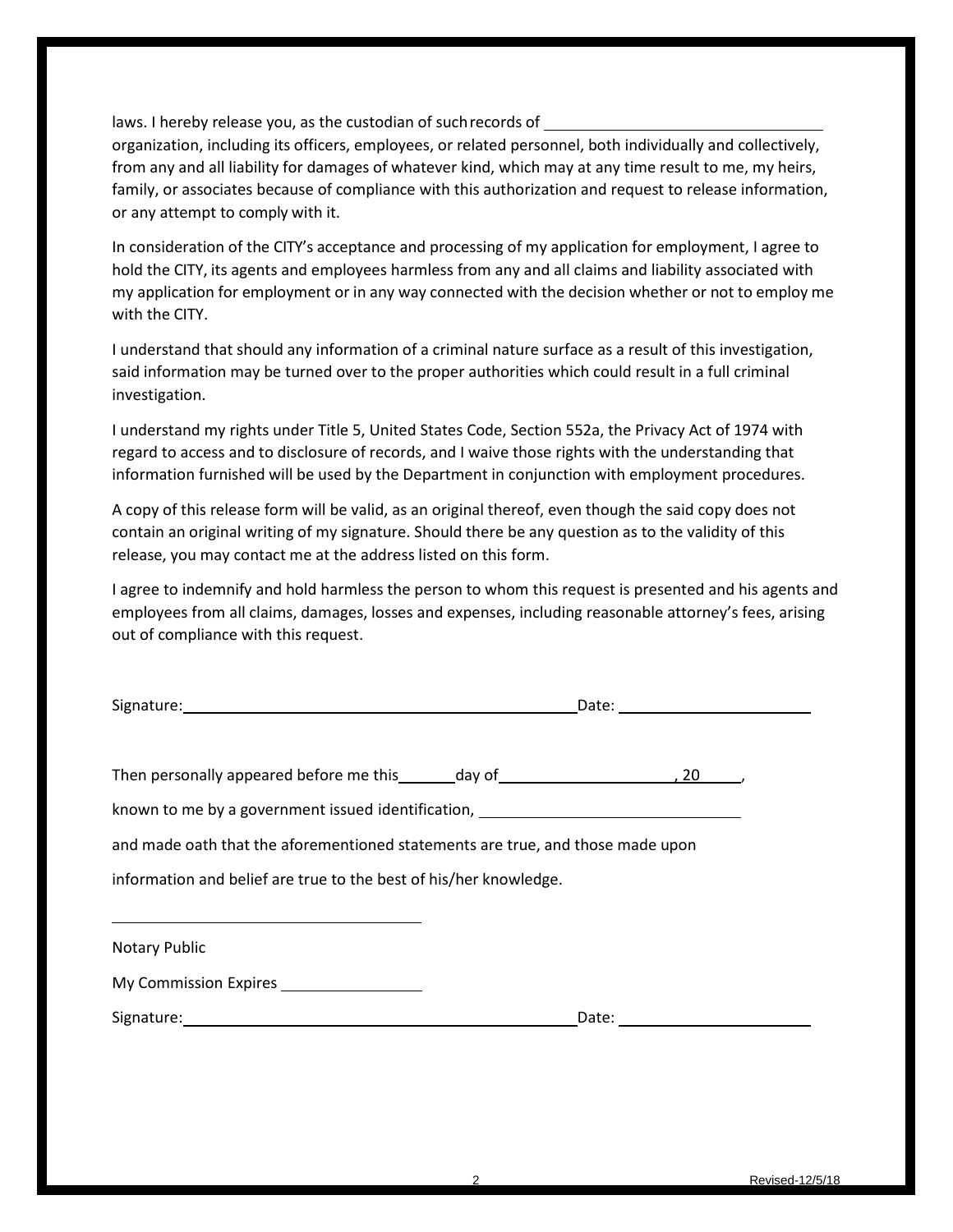laws. I hereby release you, as the custodian of suchrecords of

organization, including its officers, employees, or related personnel, both individually and collectively, from any and all liability for damages of whatever kind, which may at any time result to me, my heirs, family, or associates because of compliance with this authorization and request to release information, or any attempt to comply with it.

In consideration of the CITY's acceptance and processing of my application for employment, I agree to hold the CITY, its agents and employees harmless from any and all claims and liability associated with my application for employment or in any way connected with the decision whether or not to employ me with the CITY.

I understand that should any information of a criminal nature surface as a result of this investigation, said information may be turned over to the proper authorities which could result in a full criminal investigation.

I understand my rights under Title 5, United States Code, Section 552a, the Privacy Act of 1974 with regard to access and to disclosure of records, and I waive those rights with the understanding that information furnished will be used by the Department in conjunction with employment procedures.

A copy of this release form will be valid, as an original thereof, even though the said copy does not contain an original writing of my signature. Should there be any question as to the validity of this release, you may contact me at the address listed on this form.

I agree to indemnify and hold harmless the person to whom this request is presented and his agents and employees from all claims, damages, losses and expenses, including reasonable attorney's fees, arising out of compliance with this request.

| Signature:                              |        | Date: |  |
|-----------------------------------------|--------|-------|--|
| Then personally appeared before me this | day of |       |  |

known to me by a government issued identification,

and made oath that the aforementioned statements are true, and those made upon

information and belief are true to the best of his/her knowledge.

| Notary Public         |       |
|-----------------------|-------|
| My Commission Expires |       |
| Signature:            | Date: |
|                       |       |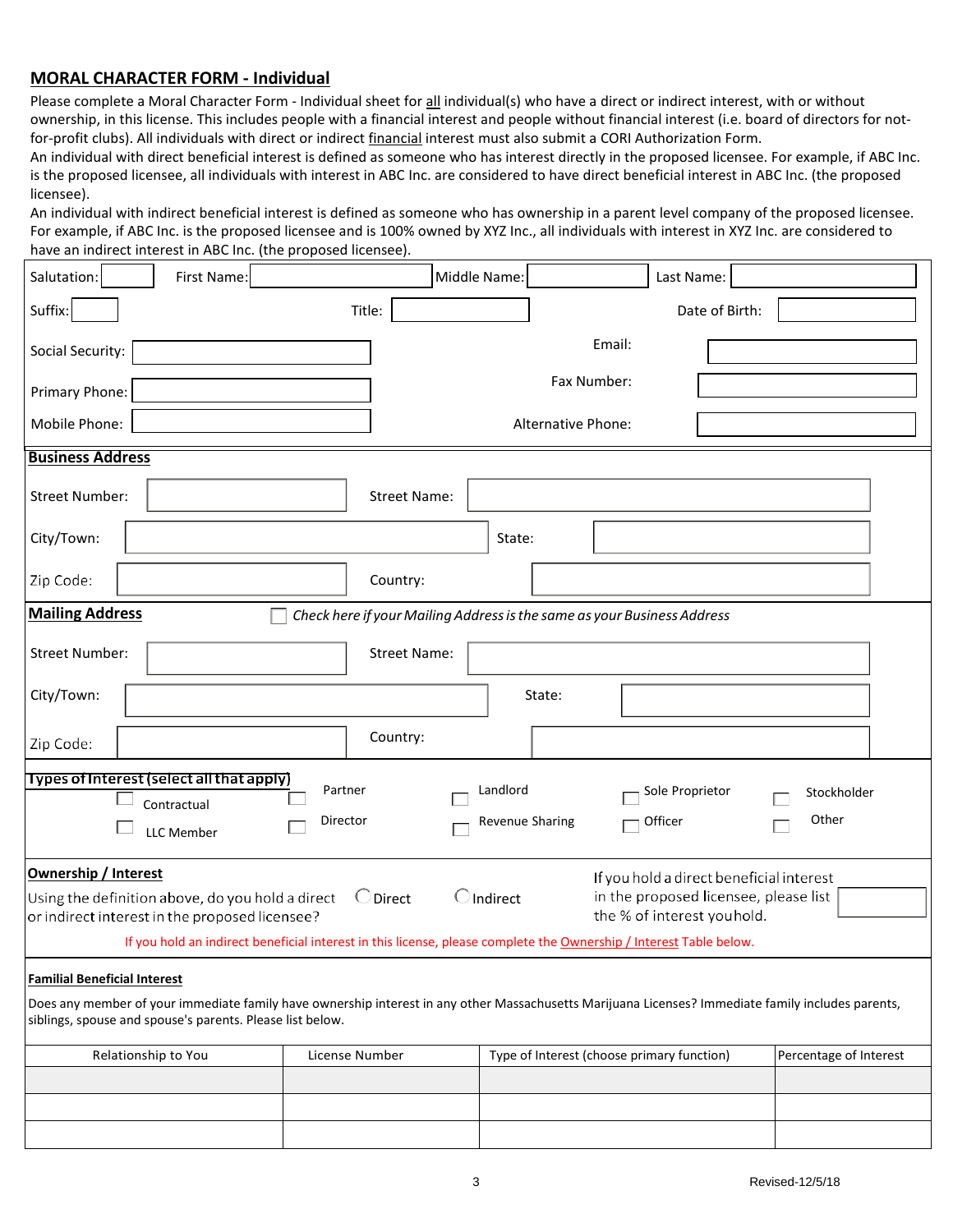### **MORAL CHARACTER FORM - Individual**

Please complete a Moral Character Form - Individual sheet for all individual(s) who have a direct or indirect interest, with or without ownership, in this license. This includes people with a financial interest and people without financial interest (i.e. board of directors for notfor-profit clubs). All individuals with direct or indirect financial interest must also submit a [CORI A](http://www.mass.gov/abcc/pdf/coriform.pdf)uthorization Form.

An individual with direct beneficial interest is defined as someone who has interest directly in the proposed licensee. For example, if ABC Inc. is the proposed licensee, all individuals with interest in ABC Inc. are considered to have direct beneficial interest in ABC Inc. (the proposed licensee).

An individual with indirect beneficial interest is defined as someone who has ownership in a parent level company of the proposed licensee. For example, if ABC Inc. is the proposed licensee and is 100% owned by XYZ Inc., all individuals with interest in XYZ Inc. are considered to have an indirect interest in ABC Inc. (the proposed licensee).

| Salutation:                         | First Name:                                                                                        |                                                                         | Middle Name:                | Last Name:                                                                                                                                                                                                                            |                        |  |
|-------------------------------------|----------------------------------------------------------------------------------------------------|-------------------------------------------------------------------------|-----------------------------|---------------------------------------------------------------------------------------------------------------------------------------------------------------------------------------------------------------------------------------|------------------------|--|
| Suffix:                             |                                                                                                    | Title:                                                                  |                             | Date of Birth:                                                                                                                                                                                                                        |                        |  |
| Social Security:                    |                                                                                                    |                                                                         |                             | Email:                                                                                                                                                                                                                                |                        |  |
| Primary Phone:                      |                                                                                                    |                                                                         |                             | Fax Number:                                                                                                                                                                                                                           |                        |  |
| Mobile Phone:                       |                                                                                                    |                                                                         | Alternative Phone:          |                                                                                                                                                                                                                                       |                        |  |
| <b>Business Address</b>             |                                                                                                    |                                                                         |                             |                                                                                                                                                                                                                                       |                        |  |
| <b>Street Number:</b>               |                                                                                                    | <b>Street Name:</b>                                                     |                             |                                                                                                                                                                                                                                       |                        |  |
| City/Town:                          |                                                                                                    |                                                                         | State:                      |                                                                                                                                                                                                                                       |                        |  |
| Zip Code:                           |                                                                                                    | Country:                                                                |                             |                                                                                                                                                                                                                                       |                        |  |
| <b>Mailing Address</b>              |                                                                                                    | Check here if your Mailing Address is the same as your Business Address |                             |                                                                                                                                                                                                                                       |                        |  |
| <b>Street Number:</b>               |                                                                                                    | <b>Street Name:</b>                                                     |                             |                                                                                                                                                                                                                                       |                        |  |
| City/Town:                          |                                                                                                    |                                                                         | State:                      |                                                                                                                                                                                                                                       |                        |  |
| Zip Code:                           |                                                                                                    | Country:                                                                |                             |                                                                                                                                                                                                                                       |                        |  |
|                                     | Types of Interest (select all that apply)<br>Contractual<br><b>LLC</b> Member                      | Partner<br>Director                                                     | Landlord<br>Revenue Sharing | Sole Proprietor<br>Officer                                                                                                                                                                                                            | Stockholder<br>Other   |  |
| <b>Ownership / Interest</b>         | Using the definition above, do you hold a direct<br>or indirect interest in the proposed licensee? | $\bigcirc$ Direct                                                       | $\bigcirc$ Indirect         | If you hold a direct beneficial interest<br>in the proposed licensee, please list<br>the % of interest youhold.<br>If you hold an indirect beneficial interest in this license, please complete the Ownership / Interest Table below. |                        |  |
| <b>Familial Beneficial Interest</b> |                                                                                                    |                                                                         |                             |                                                                                                                                                                                                                                       |                        |  |
|                                     | siblings, spouse and spouse's parents. Please list below.                                          |                                                                         |                             | Does any member of your immediate family have ownership interest in any other Massachusetts Marijuana Licenses? Immediate family includes parents,                                                                                    |                        |  |
| Relationship to You                 |                                                                                                    | License Number                                                          |                             | Type of Interest (choose primary function)                                                                                                                                                                                            | Percentage of Interest |  |
|                                     |                                                                                                    |                                                                         |                             |                                                                                                                                                                                                                                       |                        |  |
|                                     |                                                                                                    |                                                                         |                             |                                                                                                                                                                                                                                       |                        |  |
|                                     |                                                                                                    |                                                                         |                             |                                                                                                                                                                                                                                       |                        |  |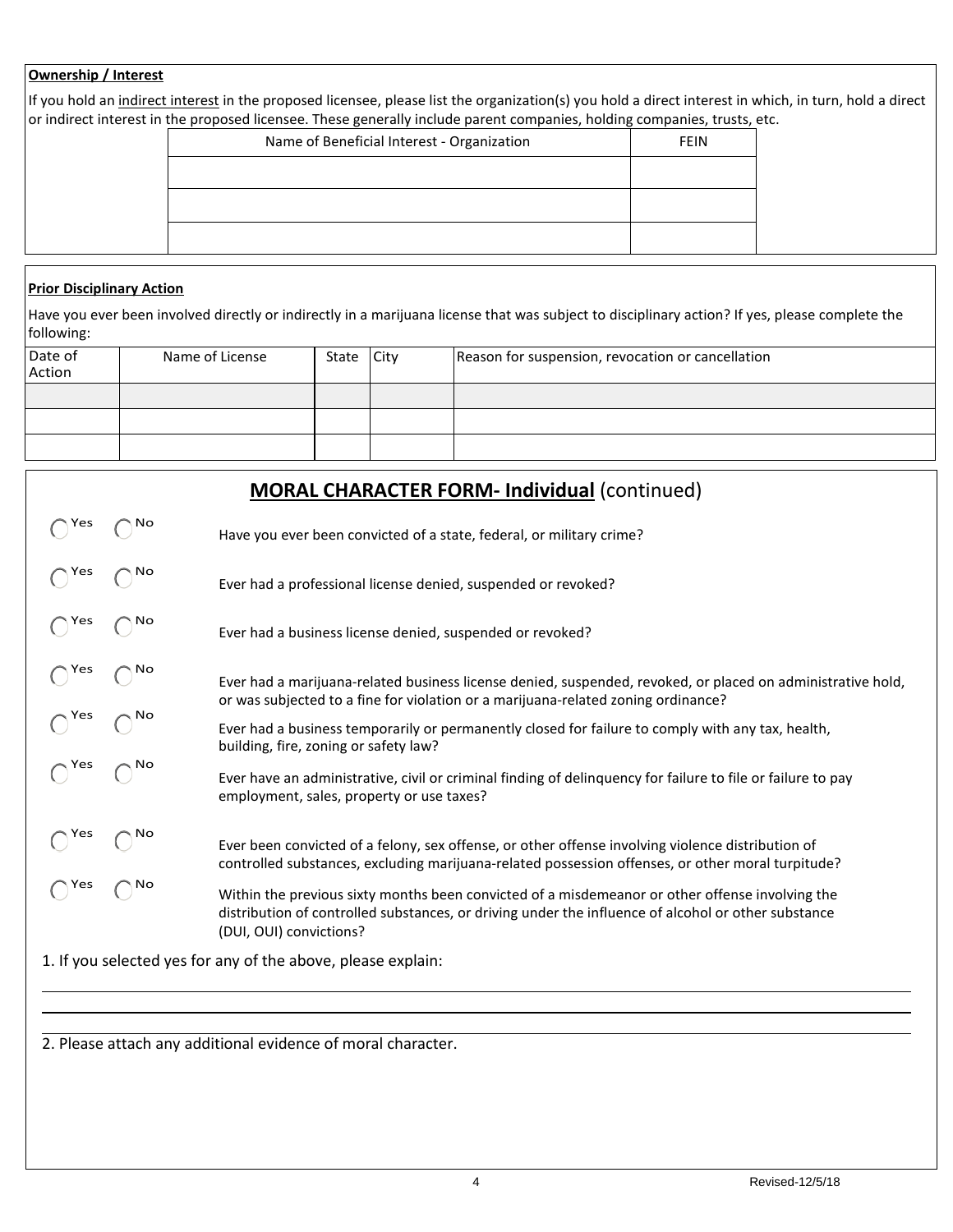### **Ownership / Interest**

If you hold an indirect interest in the proposed licensee, please list the organization(s) you hold a direct interest in which, in turn, hold a direct or indirect interest in the proposed licensee. These generally include parent companies, holding companies, trusts, etc.

| Name of Beneficial Interest - Organization | <b>FEIN</b> |
|--------------------------------------------|-------------|
|                                            |             |
|                                            |             |
|                                            |             |
|                                            |             |

#### **Prior Disciplinary Action**

Have you ever been involved directly or indirectly in a marijuana license that was subject to disciplinary action? If yes, please complete the following:

| Date of<br>Action | Name of License | State City | Reason for suspension, revocation or cancellation |
|-------------------|-----------------|------------|---------------------------------------------------|
|                   |                 |            |                                                   |
|                   |                 |            |                                                   |
|                   |                 |            |                                                   |

|               |              | <b>MORAL CHARACTER FORM- Individual (continued)</b>                                                                                                                                                                               |
|---------------|--------------|-----------------------------------------------------------------------------------------------------------------------------------------------------------------------------------------------------------------------------------|
| Yes           | <b>NO</b>    | Have you ever been convicted of a state, federal, or military crime?                                                                                                                                                              |
| $\bigcap$ Yes |              | Ever had a professional license denied, suspended or revoked?                                                                                                                                                                     |
| ∖ Yes         | No.          | Ever had a business license denied, suspended or revoked?                                                                                                                                                                         |
| $\bigcap$ Yes | No           | Ever had a marijuana-related business license denied, suspended, revoked, or placed on administrative hold,<br>or was subjected to a fine for violation or a marijuana-related zoning ordinance?                                  |
| $\bigcap$ Yes | ∖ No         | Ever had a business temporarily or permanently closed for failure to comply with any tax, health,<br>building, fire, zoning or safety law?                                                                                        |
| $\bigcap$ Yes | $\bigcap$ No | Ever have an administrative, civil or criminal finding of delinguency for failure to file or failure to pay<br>employment, sales, property or use taxes?                                                                          |
| Yes           | <b>NO</b>    | Ever been convicted of a felony, sex offense, or other offense involving violence distribution of<br>controlled substances, excluding marijuana-related possession offenses, or other moral turpitude?                            |
| ้∖Yes         | No           | Within the previous sixty months been convicted of a misdemeanor or other offense involving the<br>distribution of controlled substances, or driving under the influence of alcohol or other substance<br>(DUI, OUI) convictions? |
|               |              | 1. If you selected yes for any of the above, please explain:                                                                                                                                                                      |
|               |              |                                                                                                                                                                                                                                   |
|               |              |                                                                                                                                                                                                                                   |

2. Please attach any additional evidence of moral character.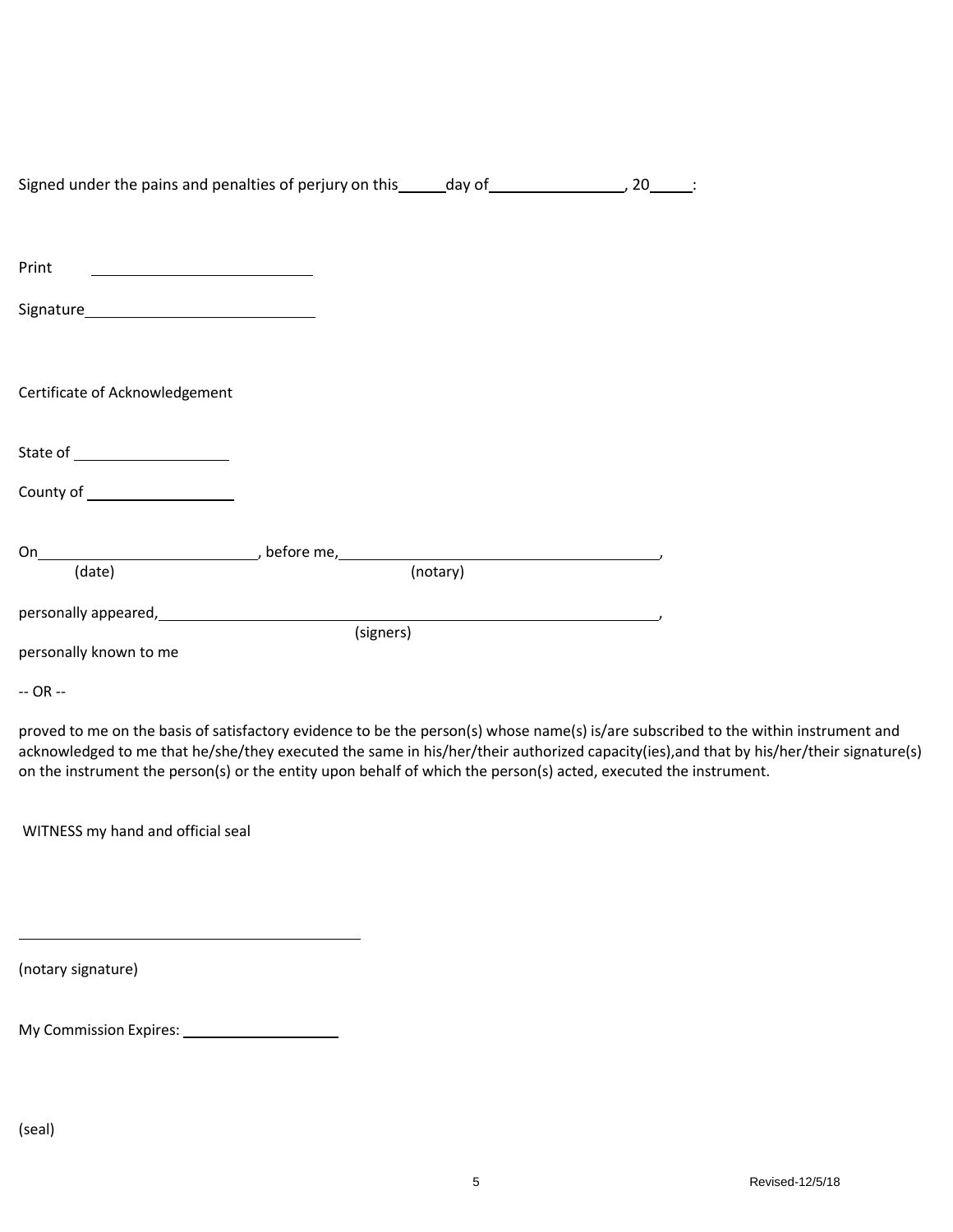| Signed under the pains and penalties of perjury on this ______day of __________________, 20______: |           |          |  |
|----------------------------------------------------------------------------------------------------|-----------|----------|--|
|                                                                                                    |           |          |  |
|                                                                                                    |           |          |  |
| Print                                                                                              |           |          |  |
|                                                                                                    |           |          |  |
|                                                                                                    |           |          |  |
|                                                                                                    |           |          |  |
|                                                                                                    |           |          |  |
| Certificate of Acknowledgement                                                                     |           |          |  |
|                                                                                                    |           |          |  |
| State of ______________________                                                                    |           |          |  |
| County of ____________________                                                                     |           |          |  |
|                                                                                                    |           |          |  |
|                                                                                                    |           |          |  |
| (date)                                                                                             |           | (notary) |  |
|                                                                                                    |           |          |  |
|                                                                                                    | (signers) |          |  |
| personally known to me                                                                             |           |          |  |
|                                                                                                    |           |          |  |

-- OR --

proved to me on the basis of satisfactory evidence to be the person(s) whose name(s) is/are subscribed to the within instrument and acknowledged to me that he/she/they executed the same in his/her/their authorized capacity(ies),and that by his/her/their signature(s) on the instrument the person(s) or the entity upon behalf of which the person(s) acted, executed the instrument.

WITNESS my hand and official seal

(notary signature)

| My Commission Expires: |  |
|------------------------|--|
|                        |  |

(seal)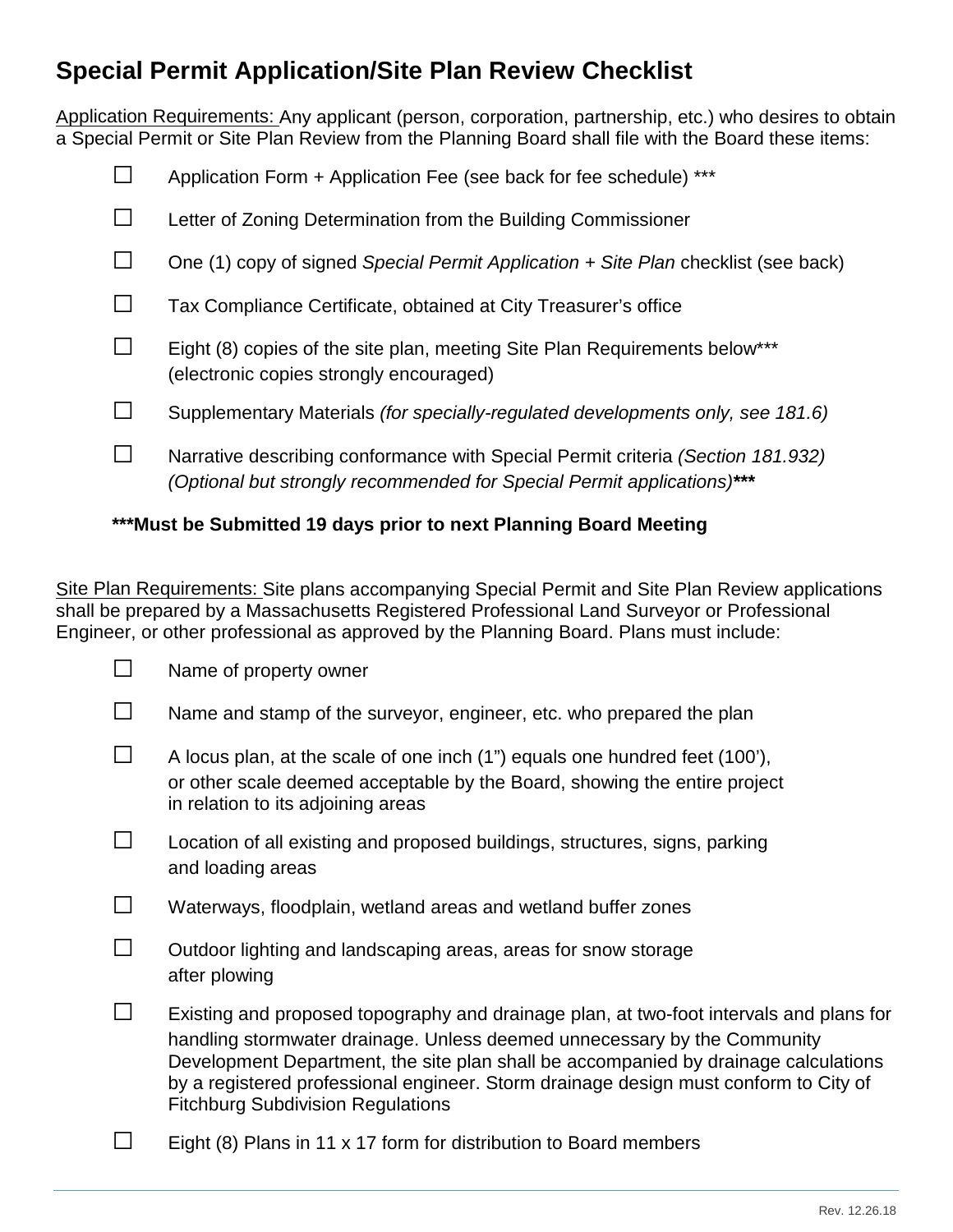# **Special Permit Application/Site Plan Review Checklist**

Application Requirements: Any applicant (person, corporation, partnership, etc.) who desires to obtain a Special Permit or Site Plan Review from the Planning Board shall file with the Board these items:

|              | Application Form + Application Fee (see back for fee schedule) ***                                                                                        |
|--------------|-----------------------------------------------------------------------------------------------------------------------------------------------------------|
|              | Letter of Zoning Determination from the Building Commissioner                                                                                             |
|              | One (1) copy of signed Special Permit Application + Site Plan checklist (see back)                                                                        |
|              | Tax Compliance Certificate, obtained at City Treasurer's office                                                                                           |
| $\mathbf{L}$ | Eight (8) copies of the site plan, meeting Site Plan Requirements below***<br>(electronic copies strongly encouraged)                                     |
|              | Supplementary Materials (for specially-regulated developments only, see 181.6)                                                                            |
|              | Narrative describing conformance with Special Permit criteria (Section 181.932)<br>(Optional but strongly recommended for Special Permit applications)*** |

# **\*\*\*Must be Submitted 19 days prior to next Planning Board Meeting**

Site Plan Requirements: Site plans accompanying Special Permit and Site Plan Review applications shall be prepared by a Massachusetts Registered Professional Land Surveyor or Professional Engineer, or other professional as approved by the Planning Board. Plans must include:

| Name of property owner                                                                                                                                                                                                                                                                                                                                                                         |
|------------------------------------------------------------------------------------------------------------------------------------------------------------------------------------------------------------------------------------------------------------------------------------------------------------------------------------------------------------------------------------------------|
| Name and stamp of the surveyor, engineer, etc. who prepared the plan                                                                                                                                                                                                                                                                                                                           |
| A locus plan, at the scale of one inch (1") equals one hundred feet (100'),<br>or other scale deemed acceptable by the Board, showing the entire project<br>in relation to its adjoining areas                                                                                                                                                                                                 |
| Location of all existing and proposed buildings, structures, signs, parking<br>and loading areas                                                                                                                                                                                                                                                                                               |
| Waterways, floodplain, wetland areas and wetland buffer zones                                                                                                                                                                                                                                                                                                                                  |
| Outdoor lighting and landscaping areas, areas for snow storage<br>after plowing                                                                                                                                                                                                                                                                                                                |
| Existing and proposed topography and drainage plan, at two-foot intervals and plans for<br>handling stormwater drainage. Unless deemed unnecessary by the Community<br>Development Department, the site plan shall be accompanied by drainage calculations<br>by a registered professional engineer. Storm drainage design must conform to City of<br><b>Fitchburg Subdivision Regulations</b> |

 $\Box$  Eight (8) Plans in 11 x 17 form for distribution to Board members